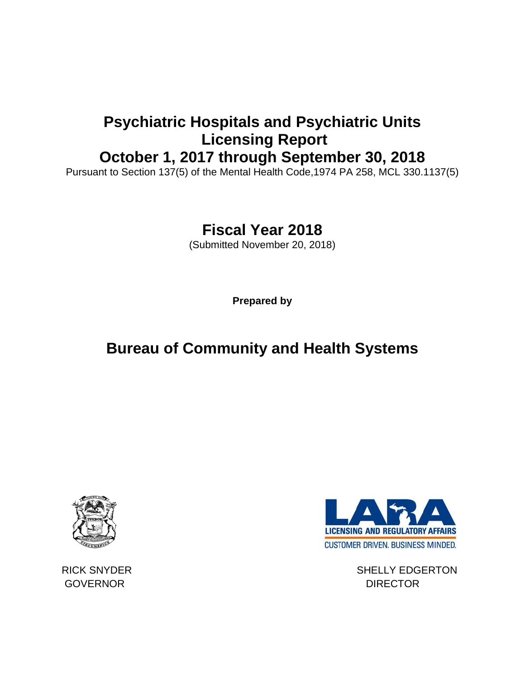### **Psychiatric Hospitals and Psychiatric Units Licensing Report October 1, 2017 through September 30, 2018**

Pursuant to Section 137(5) of the Mental Health Code,1974 PA 258, MCL 330.1137(5)

## **Fiscal Year 2018**

(Submitted November 20, 2018)

**Prepared by**

# **Bureau of Community and Health Systems**



GOVERNOR DIRECTOR



RICK SNYDER SHELLY EDGERTON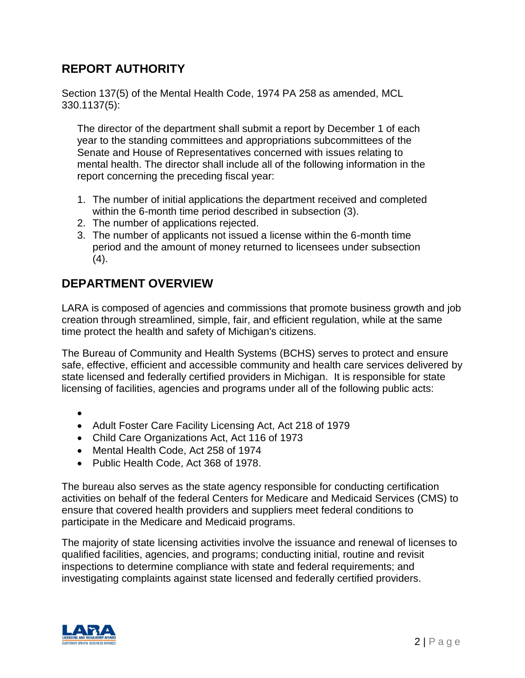#### **REPORT AUTHORITY**

Section 137(5) of the Mental Health Code, 1974 PA 258 as amended, MCL 330.1137(5):

The director of the department shall submit a report by December 1 of each year to the standing committees and appropriations subcommittees of the Senate and House of Representatives concerned with issues relating to mental health. The director shall include all of the following information in the report concerning the preceding fiscal year:

- 1. The number of initial applications the department received and completed within the 6-month time period described in subsection (3).
- 2. The number of applications rejected.
- 3. The number of applicants not issued a license within the 6-month time period and the amount of money returned to licensees under subsection  $(4).$

#### **DEPARTMENT OVERVIEW**

LARA is composed of agencies and commissions that promote business growth and job creation through streamlined, simple, fair, and efficient regulation, while at the same time protect the health and safety of Michigan's citizens.

The Bureau of Community and Health Systems (BCHS) serves to protect and ensure safe, effective, efficient and accessible community and health care services delivered by state licensed and federally certified providers in Michigan. It is responsible for state licensing of facilities, agencies and programs under all of the following public acts:

•

- Adult Foster Care Facility Licensing Act, Act 218 of 1979
- Child Care Organizations Act, Act 116 of 1973
- Mental Health Code, Act 258 of 1974
- Public Health Code, Act 368 of 1978.

The bureau also serves as the state agency responsible for conducting certification activities on behalf of the federal Centers for Medicare and Medicaid Services (CMS) to ensure that covered health providers and suppliers meet federal conditions to participate in the Medicare and Medicaid programs.

The majority of state licensing activities involve the issuance and renewal of licenses to qualified facilities, agencies, and programs; conducting initial, routine and revisit inspections to determine compliance with state and federal requirements; and investigating complaints against state licensed and federally certified providers.